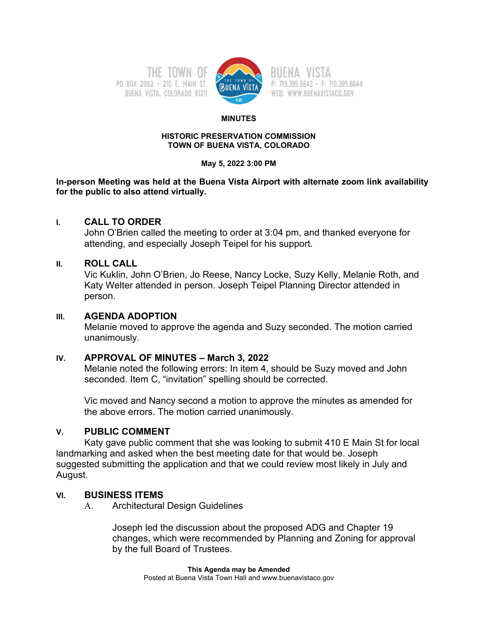PO BOX 2002 - 210 E. MAIN ST. BUENA VISTA, COLORADO 81211



P: 719.395.8643 · F: 719.395.8644 WEB: WWW.BUENAVISTACO.GOV

#### **MINUTES**

#### **HISTORIC PRESERVATION COMMISSION TOWN OF BUENA VISTA, COLORADO**

#### **May 5, 2022 3:00 PM**

#### **In-person Meeting was held at the Buena Vista Airport with alternate zoom link availability for the public to also attend virtually.**

# **I. CALL TO ORDER**

John O'Brien called the meeting to order at 3:04 pm, and thanked everyone for attending, and especially Joseph Teipel for his support.

# **II. ROLL CALL**

Vic Kuklin, John O'Brien, Jo Reese, Nancy Locke, Suzy Kelly, Melanie Roth, and Katy Welter attended in person. Joseph Teipel Planning Director attended in person.

# **III. AGENDA ADOPTION**

Melanie moved to approve the agenda and Suzy seconded. The motion carried unanimously.

# **IV. APPROVAL OF MINUTES – March 3, 2022**

Melanie noted the following errors: In item 4, should be Suzy moved and John seconded. Item C, "invitation" spelling should be corrected.

Vic moved and Nancy second a motion to approve the minutes as amended for the above errors. The motion carried unanimously.

# **V. PUBLIC COMMENT**

Katy gave public comment that she was looking to submit 410 E Main St for local landmarking and asked when the best meeting date for that would be. Joseph suggested submitting the application and that we could review most likely in July and August.

# **VI. BUSINESS ITEMS**

A. Architectural Design Guidelines

Joseph led the discussion about the proposed ADG and Chapter 19 changes, which were recommended by Planning and Zoning for approval by the full Board of Trustees.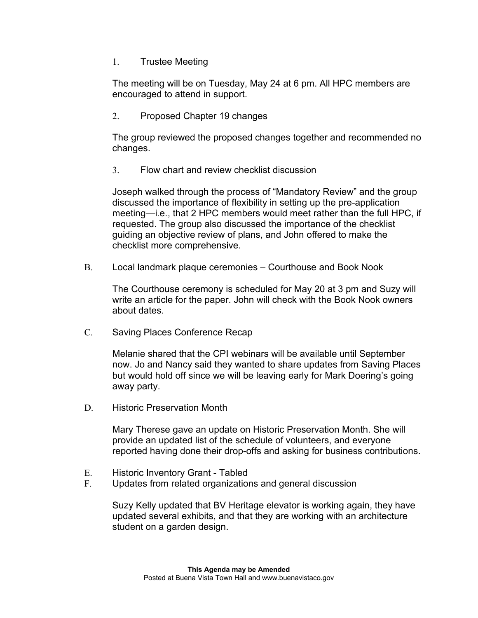1. Trustee Meeting

The meeting will be on Tuesday, May 24 at 6 pm. All HPC members are encouraged to attend in support.

2. Proposed Chapter 19 changes

The group reviewed the proposed changes together and recommended no changes.

3. Flow chart and review checklist discussion

Joseph walked through the process of "Mandatory Review" and the group discussed the importance of flexibility in setting up the pre-application meeting—i.e., that 2 HPC members would meet rather than the full HPC, if requested. The group also discussed the importance of the checklist guiding an objective review of plans, and John offered to make the checklist more comprehensive.

B. Local landmark plaque ceremonies – Courthouse and Book Nook

The Courthouse ceremony is scheduled for May 20 at 3 pm and Suzy will write an article for the paper. John will check with the Book Nook owners about dates.

C. Saving Places Conference Recap

Melanie shared that the CPI webinars will be available until September now. Jo and Nancy said they wanted to share updates from Saving Places but would hold off since we will be leaving early for Mark Doering's going away party.

D. Historic Preservation Month

Mary Therese gave an update on Historic Preservation Month. She will provide an updated list of the schedule of volunteers, and everyone reported having done their drop-offs and asking for business contributions.

- E. Historic Inventory Grant Tabled
- F. Updates from related organizations and general discussion

Suzy Kelly updated that BV Heritage elevator is working again, they have updated several exhibits, and that they are working with an architecture student on a garden design.